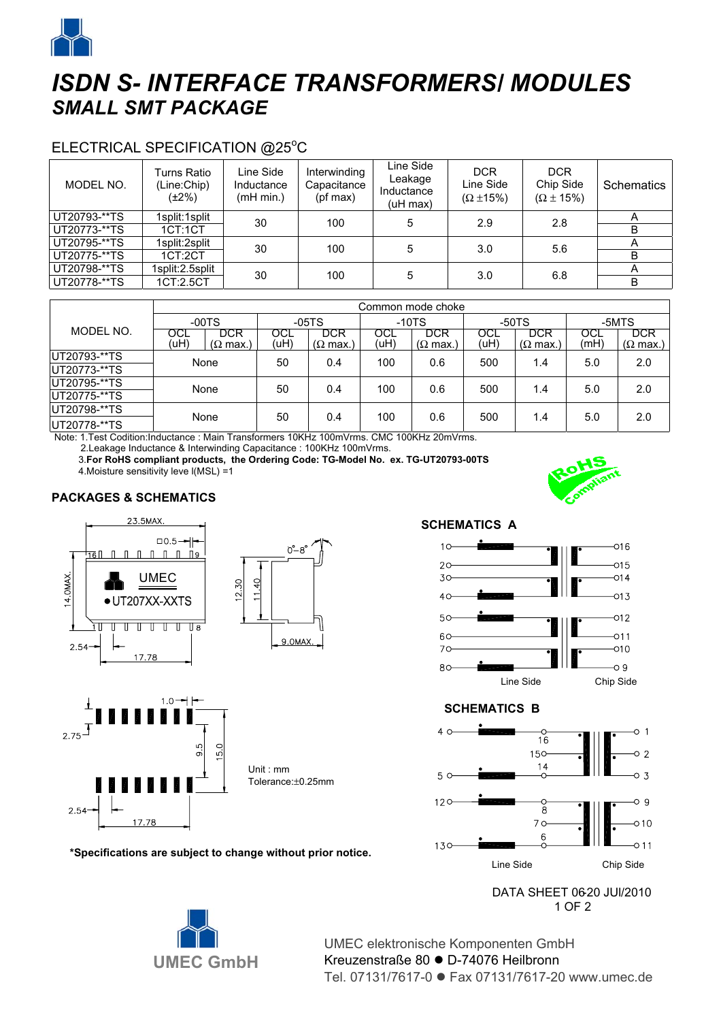

# *ISDN S- INTERFACE TRANSFORMERS/ MODULES SMALL SMT PACKAGE*

## ELECTRICAL SPECIFICATION @25°C

| MODEL NO.    | Turns Ratio<br>(Line:Chip)<br>(±2%) | Line Side<br>Inductance<br>(mH min.) | Interwinding<br>Capacitance<br>(pf max) | Line Side<br>Leakage<br>Inductance<br>$(uH$ max) | <b>DCR</b><br>Line Side<br>$(\Omega \pm 15\%)$ | <b>DCR</b><br>Chip Side<br>$(\Omega \pm 15\%)$ | Schematics |
|--------------|-------------------------------------|--------------------------------------|-----------------------------------------|--------------------------------------------------|------------------------------------------------|------------------------------------------------|------------|
| UT20793-**TS | 1split:1split                       | 30                                   | 100                                     | 5                                                | 2.9                                            | 2.8                                            | А          |
| UT20773-**TS | 1CT:1CT                             |                                      |                                         |                                                  |                                                |                                                | B          |
| UT20795-**TS | 1split:2split                       | 30                                   | 100                                     | 5                                                | 3.0                                            | 5.6                                            | A          |
| UT20775-**TS | 1CT:2CT                             |                                      |                                         |                                                  |                                                |                                                | B          |
| UT20798-**TS | 1split:2.5split                     | 30                                   | 100                                     | 5                                                | 3.0                                            | 6.8                                            | А          |
| UT20778-**TS | 1CT:2.5CT                           |                                      |                                         |                                                  |                                                |                                                | B          |

|              | Common mode choke |                                |             |                                       |             |                                       |             |                                       |             |                                       |
|--------------|-------------------|--------------------------------|-------------|---------------------------------------|-------------|---------------------------------------|-------------|---------------------------------------|-------------|---------------------------------------|
|              | $-00TS$           |                                | $-05TS$     |                                       | $-10TS$     |                                       | $-50TS$     |                                       | -5MTS       |                                       |
| MODEL NO.    | OCL<br>(uH)       | DCR<br>$(\Omega \text{ max.})$ | OCL<br>(uH) | <b>DCR</b><br>$(\Omega \text{ max.})$ | OCL<br>(uH) | <b>DCR</b><br>$(\Omega \text{ max.})$ | OCL<br>(uH) | <b>DCR</b><br>$(\Omega \text{ max.})$ | OCL<br>(mH) | <b>DCR</b><br>$(\Omega \text{ max.})$ |
| UT20793-**TS | None              |                                | 50          | 0.4                                   | 100         | 0.6                                   | 500         | 1.4                                   | 5.0         | 2.0                                   |
| UT20773-**TS |                   |                                |             |                                       |             |                                       |             |                                       |             |                                       |
| UT20795-**TS | None              |                                | 50          | 0.4                                   | 100         | 0.6                                   | 500         | 1.4                                   | 5.0         | 2.0                                   |
| UT20775-**TS |                   |                                |             |                                       |             |                                       |             |                                       |             |                                       |
| UT20798-**TS | None              |                                | 50          | 0.4                                   | 100         | 0.6                                   | 500         | 1.4                                   | 5.0         | 2.0                                   |
| UT20778-**TS |                   |                                |             |                                       |             |                                       |             |                                       |             |                                       |

Note: 1.Test Codition:Inductance : Main Transformers 10KHz 100mVrms. CMC 100KHz 20mVrms.

2.Leakage Inductance & Interwinding Capacitance : 100KHz 100mVrms.

 3.**For RoHS compliant products, the Ordering Code: TG-Model No. ex. TG-UT20793-00TS** 4.Moisture sensitivity leve l(MSL) =1

#### **PACKAGES & SCHEMATICS**







**\*Specifications are subject to change without prior notice.**



#### **SCHEMATICS B**



DATA SHEET 06-20 JUI/2010  $\blacksquare$ 



UMEC elektronische Komponenten GmbH Kreuzenstraße 80 ● D-74076 Heilbronn Tel. 07131/7617-0 ● Fax 07131/7617-20 www.umec.de

**SCHEMATICS A**